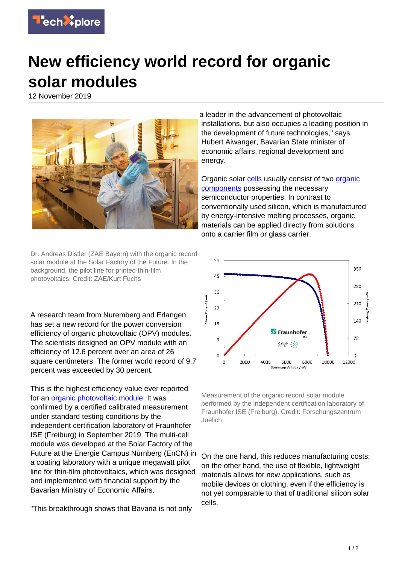

## **New efficiency world record for organic solar modules**

12 November 2019



Dr. Andreas Distler (ZAE Bayern) with the organic record solar module at the Solar Factory of the Future. In the background, the pilot line for printed thin-film photovoltaics. Credit: ZAE/Kurt Fuchs

A research team from Nuremberg and Erlangen has set a new record for the power conversion efficiency of organic photovoltaic (OPV) modules. The scientists designed an OPV module with an efficiency of 12.6 percent over an area of 26 square centimeters. The former world record of 9.7 percent was exceeded by 30 percent.

This is the highest efficiency value ever reported for an [organic photovoltaic](https://techxplore.com/tags/organic+photovoltaic/) [module](https://techxplore.com/tags/module/). It was confirmed by a certified calibrated measurement under standard testing conditions by the independent certification laboratory of Fraunhofer ISE (Freiburg) in September 2019. The multi-cell module was developed at the Solar Factory of the Future at the Energie Campus Nürnberg (EnCN) in a coating laboratory with a unique megawatt pilot line for thin-film photovoltaics, which was designed and implemented with financial support by the Bavarian Ministry of Economic Affairs.

"This breakthrough shows that Bavaria is not only

a leader in the advancement of photovoltaic installations, but also occupies a leading position in the development of future technologies," says Hubert Aiwanger, Bavarian State minister of economic affairs, regional development and energy.

Organic solar [cells](https://techxplore.com/tags/cells/) usually consist of two [organic](https://techxplore.com/tags/organic+components/) [components](https://techxplore.com/tags/organic+components/) possessing the necessary semiconductor properties. In contrast to conventionally used silicon, which is manufactured by energy-intensive melting processes, organic materials can be applied directly from solutions onto a carrier film or glass carrier.



Measurement of the organic record solar module performed by the independent certification laboratory of Fraunhofer ISE (Freiburg). Credit: Forschungszentrum Juelich

On the one hand, this reduces manufacturing costs; on the other hand, the use of flexible, lightweight materials allows for new applications, such as mobile devices or clothing, even if the efficiency is not yet comparable to that of traditional silicon solar cells.